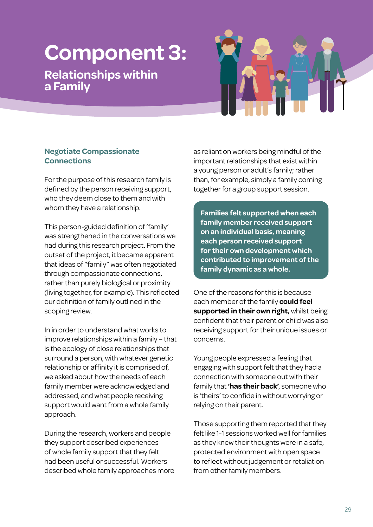# **Component 3:**

# **Relationships within a Family**



# **Negotiate Compassionate Connections**

For the purpose of this research family is defined by the person receiving support, who they deem close to them and with whom they have a relationship.

This person-guided definition of 'family' was strengthened in the conversations we had during this research project. From the outset of the project, it became apparent that ideas of "family" was often negotiated through compassionate connections, rather than purely biological or proximity (living together, for example). This reflected our definition of family outlined in the scoping review.

In in order to understand what works to improve relationships within a family – that is the ecology of close relationships that surround a person, with whatever genetic relationship or affinity it is comprised of, we asked about how the needs of each family member were acknowledged and addressed, and what people receiving support would want from a whole family approach.

During the research, workers and people they support described experiences of whole family support that they felt had been useful or successful. Workers described whole family approaches more as reliant on workers being mindful of the important relationships that exist within a young person or adult's family; rather than, for example, simply a family coming together for a group support session.

**Families felt supported when each family member received support on an individual basis, meaning each person received support for their own development which contributed to improvement of the family dynamic as a whole.** 

One of the reasons for this is because each member of the family **could feel supported in their own right,** whilst being confident that their parent or child was also receiving support for their unique issues or concerns.

Young people expressed a feeling that engaging with support felt that they had a connection with someone out with their family that **'has their back'**, someone who is 'theirs' to confide in without worrying or relying on their parent.

Those supporting them reported that they felt like 1-1 sessions worked well for families as they knew their thoughts were in a safe, protected environment with open space to reflect without judgement or retaliation from other family members.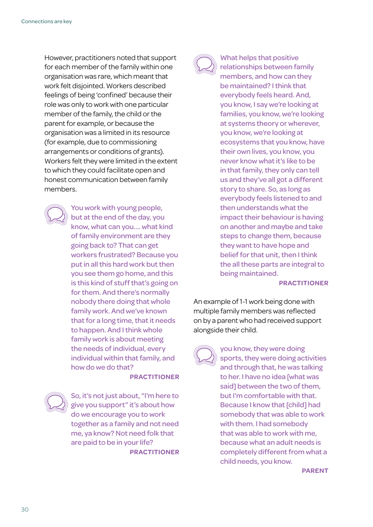However, practitioners noted that support for each member of the family within one organisation was rare, which meant that work felt disjointed. Workers described feelings of being 'confined' because their role was only to work with one particular member of the family, the child or the parent for example, or because the organisation was a limited in its resource (for example, due to commissioning arrangements or conditions of grants). Workers felt they were limited in the extent to which they could facilitate open and honest communication between family members.



You work with young people, but at the end of the day, you know, what can you.... what kind of family environment are they going back to? That can get workers frustrated? Because you put in all this hard work but then you see them go home, and this is this kind of stuff that's going on for them. And there's normally nobody there doing that whole family work. And we've known that for a long time, that it needs to happen. And I think whole family work is about meeting the needs of individual, every individual within that family, and how do we do that?

#### **PRACTITIONER**

So, it's not just about, "I'm here to give you support" it's about how do we encourage you to work together as a family and not need me, ya know? Not need folk that are paid to be in your life? **PRACTITIONER**



What helps that positive relationships between family members, and how can they be maintained? I think that everybody feels heard. And, you know, I say we're looking at families, you know, we're looking at systems theory or wherever, you know, we're looking at ecosystems that you know, have their own lives, you know, you never know what it's like to be in that family, they only can tell us and they've all got a different story to share. So, as long as everybody feels listened to and then understands what the impact their behaviour is having on another and maybe and take steps to change them, because they want to have hope and belief for that unit, then I think the all these parts are integral to being maintained.

#### **PRACTITIONER**

An example of 1-1 work being done with multiple family members was reflected on by a parent who had received support alongside their child.

#### you know, they were doing

sports, they were doing activities and through that, he was talking to her. I have no idea [what was said] between the two of them. but I'm comfortable with that. Because I know that [child] had somebody that was able to work with them. I had somebody that was able to work with me, because what an adult needs is completely different from what a child needs, you know.

**PARENT**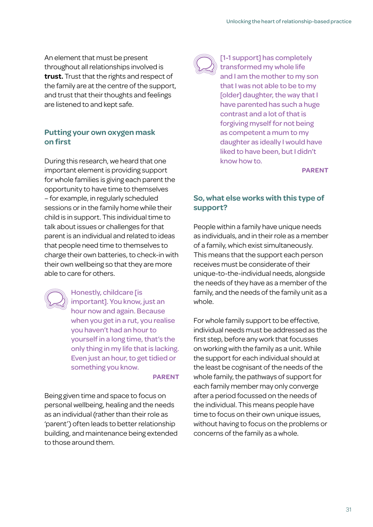An element that must be present throughout all relationships involved is **trust.** Trust that the rights and respect of the family are at the centre of the support, and trust that their thoughts and feelings are listened to and kept safe.

### **Putting your own oxygen mask on first**

During this research, we heard that one important element is providing support for whole families is giving each parent the opportunity to have time to themselves – for example, in regularly scheduled sessions or in the family home while their child is in support. This individual time to talk about issues or challenges for that parent is an individual and related to ideas that people need time to themselves to charge their own batteries, to check-in with their own wellbeing so that they are more able to care for others.

Honestly, childcare **[is** important]. You know, just an hour now and again. Because when you get in a rut, you realise you haven't had an hour to yourself in a long time, that's the only thing in my life that is lacking. Even just an hour, to get tidied or something you know.

#### **PARENT**

Being given time and space to focus on personal wellbeing, healing and the needs as an individual (rather than their role as 'parent') often leads to better relationship building, and maintenance being extended to those around them.



[1-1 support] has completely transformed my whole life and I am the mother to my son that I was not able to be to my [older] daughter, the way that I have parented has such a huge contrast and a lot of that is forgiving myself for not being as competent a mum to my daughter as ideally I would have liked to have been, but I didn't know how to.

**PARENT**

#### **So, what else works with this type of support?**

People within a family have unique needs as individuals, and in their role as a member of a family, which exist simultaneously. This means that the support each person receives must be considerate of their unique-to-the-individual needs, alongside the needs of they have as a member of the family, and the needs of the family unit as a whole.

For whole family support to be effective, individual needs must be addressed as the first step, before any work that focusses on working with the family as a unit. While the support for each individual should at the least be cognisant of the needs of the whole family, the pathways of support for each family member may only converge after a period focussed on the needs of the individual. This means people have time to focus on their own unique issues, without having to focus on the problems or concerns of the family as a whole.